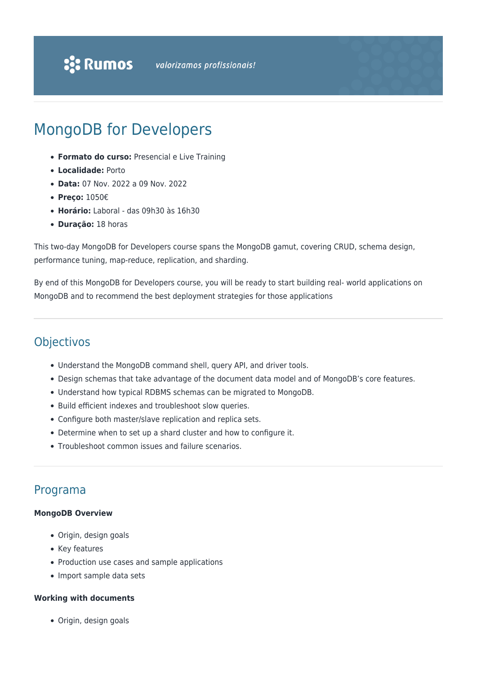# MongoDB for Developers

- **Formato do curso:** Presencial e Live Training
- **Localidade:** Porto
- **Data:** 07 Nov. 2022 a 09 Nov. 2022
- **Preço:** 1050€
- **Horário:** Laboral das 09h30 às 16h30
- **Duração:** 18 horas

This two-day MongoDB for Developers course spans the MongoDB gamut, covering CRUD, schema design, performance tuning, map-reduce, replication, and sharding.

By end of this MongoDB for Developers course, you will be ready to start building real- world applications on MongoDB and to recommend the best deployment strategies for those applications

# Objectivos

- Understand the MongoDB command shell, query API, and driver tools.
- Design schemas that take advantage of the document data model and of MongoDB's core features.
- Understand how typical RDBMS schemas can be migrated to MongoDB.
- Build efficient indexes and troubleshoot slow queries.
- Configure both master/slave replication and replica sets.
- Determine when to set up a shard cluster and how to configure it.
- Troubleshoot common issues and failure scenarios.

# Programa

#### **MongoDB Overview**

- Origin, design goals
- Key features
- Production use cases and sample applications
- Import sample data sets

#### **Working with documents**

Origin, design goals